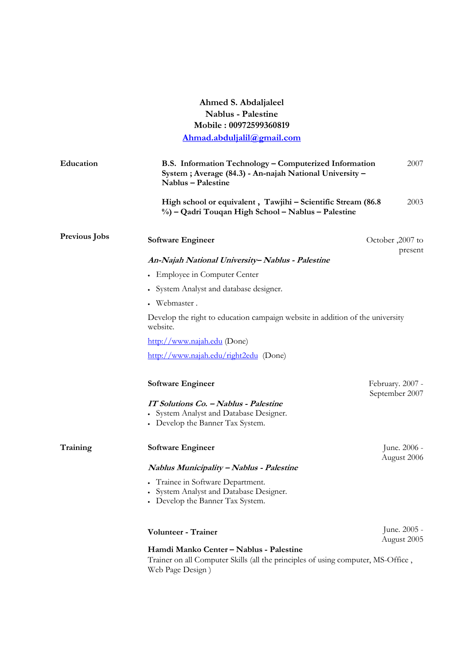## **Ahmed S. Abdaljaleel Nablus - Palestine Mobile : 00972599360819**

**Ahmad.abduljalil@gmail.com**

| Education            | B.S. Information Technology - Computerized Information<br>System; Average (84.3) - An-najah National University -<br>Nablus - Palestine         |  | 2007                               |  |
|----------------------|-------------------------------------------------------------------------------------------------------------------------------------------------|--|------------------------------------|--|
|                      | High school or equivalent, Tawjihi - Scientific Stream (86.8<br>%) – Qadri Touqan High School – Nablus – Palestine                              |  | 2003                               |  |
| <b>Previous Jobs</b> | <b>Software Engineer</b>                                                                                                                        |  | October, 2007 to<br>present        |  |
|                      | An-Najah National University-Nablus - Palestine                                                                                                 |  |                                    |  |
|                      | • Employee in Computer Center                                                                                                                   |  |                                    |  |
|                      | • System Analyst and database designer.                                                                                                         |  |                                    |  |
|                      | • Webmaster.                                                                                                                                    |  |                                    |  |
|                      | Develop the right to education campaign website in addition of the university<br>website.                                                       |  |                                    |  |
|                      | http://www.najah.edu (Done)                                                                                                                     |  |                                    |  |
|                      | http://www.najah.edu/right2edu (Done)                                                                                                           |  |                                    |  |
|                      | <b>Software Engineer</b>                                                                                                                        |  | February. 2007 -<br>September 2007 |  |
|                      | IT Solutions Co. - Nablus - Palestine<br>• System Analyst and Database Designer.<br>• Develop the Banner Tax System.                            |  |                                    |  |
| Training             | <b>Software Engineer</b>                                                                                                                        |  | June. 2006 -<br>August 2006        |  |
|                      | Nablus Municipality - Nablus - Palestine                                                                                                        |  |                                    |  |
|                      | • Trainee in Software Department.<br>System Analyst and Database Designer.<br>• Develop the Banner Tax System.                                  |  |                                    |  |
|                      | Volunteer - Trainer                                                                                                                             |  | June. 2005 -<br>August 2005        |  |
|                      | Hamdi Manko Center - Nablus - Palestine<br>Trainer on all Computer Skills (all the principles of using computer, MS-Office,<br>Web Page Design) |  |                                    |  |